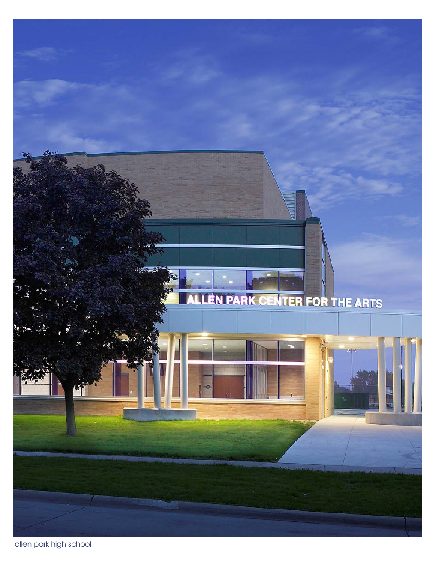

allen park high school